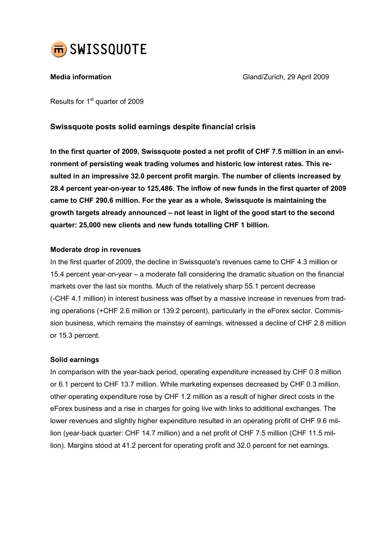

Media information and Cland/Zurich, 29 April 2009

Results for 1<sup>st</sup> quarter of 2009

# Swissquote posts solid earnings despite financial crisis

In the first quarter of 2009, Swissquote posted a net profit of CHF 7.5 million in an environment of persisting weak trading volumes and historic low interest rates. This resulted in an impressive 32.0 percent profit margin. The number of clients increased by 28.4 percent year-on-year to 125,486. The inflow of new funds in the first quarter of 2009 came to CHF 290.6 million. For the year as a whole, Swissquote is maintaining the growth targets already announced – not least in light of the good start to the second quarter: 25,000 new clients and new funds totalling CHF 1 billion.

# Moderate drop in revenues

In the first quarter of 2009, the decline in Swissquote's revenues came to CHF 4.3 million or 15.4 percent year-on-year – a moderate fall considering the dramatic situation on the financial markets over the last six months. Much of the relatively sharp 55.1 percent decrease (-CHF 4.1 million) in interest business was offset by a massive increase in revenues from trading operations (+CHF 2.6 million or 139.2 percent), particularly in the eForex sector. Commission business, which remains the mainstay of earnings, witnessed a decline of CHF 2.8 million or 15.3 percent.

# Solid earnings

In comparison with the year-back period, operating expenditure increased by CHF 0.8 million or 6.1 percent to CHF 13.7 million. While marketing expenses decreased by CHF 0.3 million, other operating expenditure rose by CHF 1.2 million as a result of higher direct costs in the eForex business and a rise in charges for going live with links to additional exchanges. The lower revenues and slightly higher expenditure resulted in an operating profit of CHF 9.6 million (year-back quarter: CHF 14.7 million) and a net profit of CHF 7.5 million (CHF 11.5 million). Margins stood at 41.2 percent for operating profit and 32.0 percent for net earnings.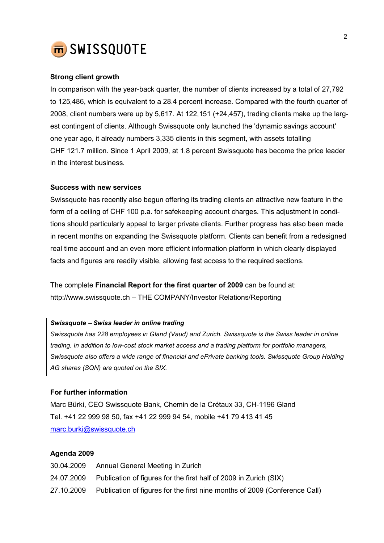

### Strong client growth

In comparison with the year-back quarter, the number of clients increased by a total of 27,792 to 125,486, which is equivalent to a 28.4 percent increase. Compared with the fourth quarter of 2008, client numbers were up by 5,617. At 122,151 (+24,457), trading clients make up the largest contingent of clients. Although Swissquote only launched the 'dynamic savings account' one year ago, it already numbers 3,335 clients in this segment, with assets totalling CHF 121.7 million. Since 1 April 2009, at 1.8 percent Swissquote has become the price leader in the interest business.

#### Success with new services

Swissquote has recently also begun offering its trading clients an attractive new feature in the form of a ceiling of CHF 100 p.a. for safekeeping account charges. This adjustment in conditions should particularly appeal to larger private clients. Further progress has also been made in recent months on expanding the Swissquote platform. Clients can benefit from a redesigned real time account and an even more efficient information platform in which clearly displayed facts and figures are readily visible, allowing fast access to the required sections.

The complete Financial Report for the first quarter of 2009 can be found at: http://www.swissquote.ch – THE COMPANY/Investor Relations/Reporting

#### Swissquote − Swiss leader in online trading

Swissquote has 228 employees in Gland (Vaud) and Zurich. Swissquote is the Swiss leader in online trading. In addition to low-cost stock market access and a trading platform for portfolio managers, Swissquote also offers a wide range of financial and ePrivate banking tools. Swissquote Group Holding AG shares (SQN) are quoted on the SIX.

# For further information

Marc Bürki, CEO Swissquote Bank, Chemin de la Crétaux 33, CH-1196 Gland Tel. +41 22 999 98 50, fax +41 22 999 94 54, mobile +41 79 413 41 45 marc.burki@swissquote.ch

### Agenda 2009

| 30.04.2009 | Annual General Meeting in Zurich                                           |
|------------|----------------------------------------------------------------------------|
| 24.07.2009 | Publication of figures for the first half of 2009 in Zurich (SIX)          |
| 27.10.2009 | Publication of figures for the first nine months of 2009 (Conference Call) |